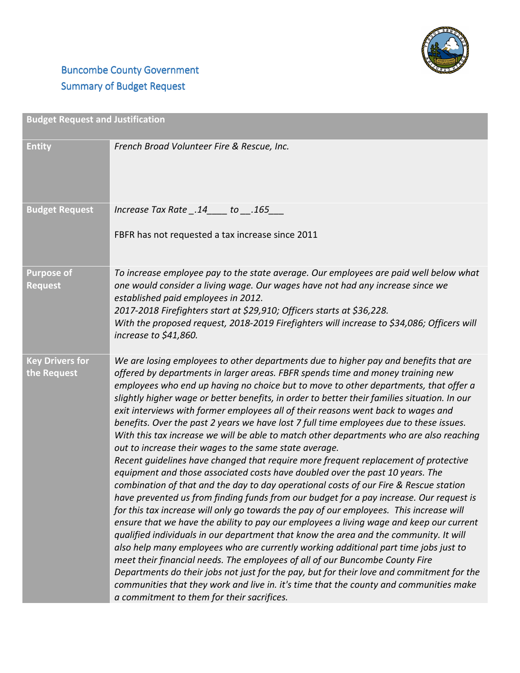

## **Buncombe County Government** Summary of Budget Request

| <b>Budget Request and Justification</b> |                                                                                                                                                                                                                                                                                                                                                                                                                                                                                                                                                                                                                                                                                                                                                                                                                                                                                                                                                                                                                                                                                                                                                                                                                                                                                                                                                                                                                                                                                                                                                                                                                                                                                                                                                              |
|-----------------------------------------|--------------------------------------------------------------------------------------------------------------------------------------------------------------------------------------------------------------------------------------------------------------------------------------------------------------------------------------------------------------------------------------------------------------------------------------------------------------------------------------------------------------------------------------------------------------------------------------------------------------------------------------------------------------------------------------------------------------------------------------------------------------------------------------------------------------------------------------------------------------------------------------------------------------------------------------------------------------------------------------------------------------------------------------------------------------------------------------------------------------------------------------------------------------------------------------------------------------------------------------------------------------------------------------------------------------------------------------------------------------------------------------------------------------------------------------------------------------------------------------------------------------------------------------------------------------------------------------------------------------------------------------------------------------------------------------------------------------------------------------------------------------|
| <b>Entity</b>                           | French Broad Volunteer Fire & Rescue, Inc.                                                                                                                                                                                                                                                                                                                                                                                                                                                                                                                                                                                                                                                                                                                                                                                                                                                                                                                                                                                                                                                                                                                                                                                                                                                                                                                                                                                                                                                                                                                                                                                                                                                                                                                   |
| <b>Budget Request</b>                   | lncrease Tax Rate .14 to .165<br>FBFR has not requested a tax increase since 2011                                                                                                                                                                                                                                                                                                                                                                                                                                                                                                                                                                                                                                                                                                                                                                                                                                                                                                                                                                                                                                                                                                                                                                                                                                                                                                                                                                                                                                                                                                                                                                                                                                                                            |
| <b>Purpose of</b><br><b>Request</b>     | To increase employee pay to the state average. Our employees are paid well below what<br>one would consider a living wage. Our wages have not had any increase since we<br>established paid employees in 2012.<br>2017-2018 Firefighters start at \$29,910; Officers starts at \$36,228.<br>With the proposed request, 2018-2019 Firefighters will increase to \$34,086; Officers will<br>increase to \$41,860.                                                                                                                                                                                                                                                                                                                                                                                                                                                                                                                                                                                                                                                                                                                                                                                                                                                                                                                                                                                                                                                                                                                                                                                                                                                                                                                                              |
| <b>Key Drivers for</b><br>the Request   | We are losing employees to other departments due to higher pay and benefits that are<br>offered by departments in larger areas. FBFR spends time and money training new<br>employees who end up having no choice but to move to other departments, that offer a<br>slightly higher wage or better benefits, in order to better their families situation. In our<br>exit interviews with former employees all of their reasons went back to wages and<br>benefits. Over the past 2 years we have lost 7 full time employees due to these issues.<br>With this tax increase we will be able to match other departments who are also reaching<br>out to increase their wages to the same state average.<br>Recent guidelines have changed that require more frequent replacement of protective<br>equipment and those associated costs have doubled over the past 10 years. The<br>combination of that and the day to day operational costs of our Fire & Rescue station<br>have prevented us from finding funds from our budget for a pay increase. Our request is<br>for this tax increase will only go towards the pay of our employees. This increase will<br>ensure that we have the ability to pay our employees a living wage and keep our current<br>qualified individuals in our department that know the area and the community. It will<br>also help many employees who are currently working additional part time jobs just to<br>meet their financial needs. The employees of all of our Buncombe County Fire<br>Departments do their jobs not just for the pay, but for their love and commitment for the<br>communities that they work and live in. it's time that the county and communities make<br>a commitment to them for their sacrifices. |